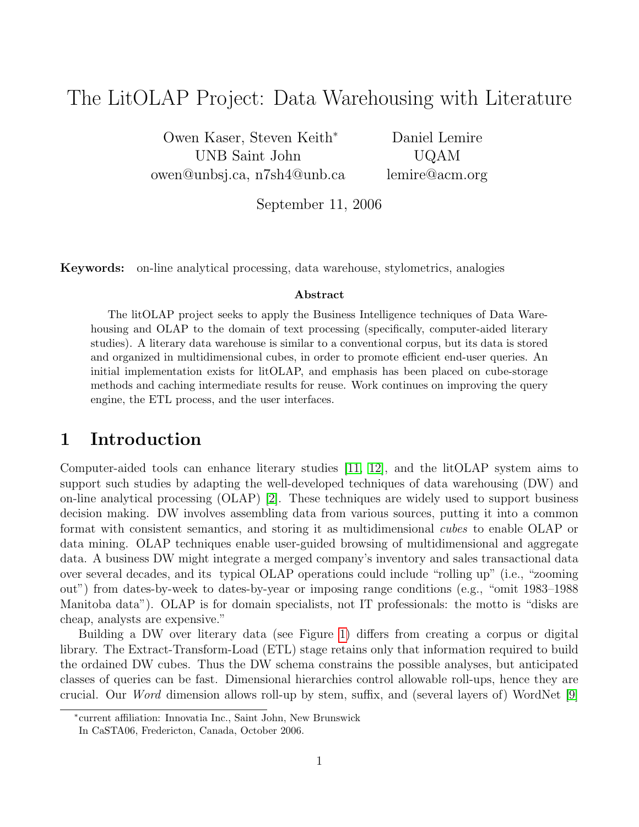# The LitOLAP Project: Data Warehousing with Literature

Owen Kaser, Steven Keith<sup>∗</sup> UNB Saint John owen@unbsj.ca, n7sh4@unb.ca

Daniel Lemire UQAM lemire@acm.org

September 11, 2006

Keywords: on-line analytical processing, data warehouse, stylometrics, analogies

#### Abstract

The litOLAP project seeks to apply the Business Intelligence techniques of Data Warehousing and OLAP to the domain of text processing (specifically, computer-aided literary studies). A literary data warehouse is similar to a conventional corpus, but its data is stored and organized in multidimensional cubes, in order to promote efficient end-user queries. An initial implementation exists for litOLAP, and emphasis has been placed on cube-storage methods and caching intermediate results for reuse. Work continues on improving the query engine, the ETL process, and the user interfaces.

### 1 Introduction

Computer-aided tools can enhance literary studies [\[11,](#page-3-0) [12\]](#page-3-1), and the litOLAP system aims to support such studies by adapting the well-developed techniques of data warehousing (DW) and on-line analytical processing (OLAP) [\[2\]](#page-3-2). These techniques are widely used to support business decision making. DW involves assembling data from various sources, putting it into a common format with consistent semantics, and storing it as multidimensional cubes to enable OLAP or data mining. OLAP techniques enable user-guided browsing of multidimensional and aggregate data. A business DW might integrate a merged company's inventory and sales transactional data over several decades, and its typical OLAP operations could include "rolling up" (i.e., "zooming out") from dates-by-week to dates-by-year or imposing range conditions (e.g., "omit 1983–1988 Manitoba data"). OLAP is for domain specialists, not IT professionals: the motto is "disks are cheap, analysts are expensive."

Building a DW over literary data (see Figure [1\)](#page-1-0) differs from creating a corpus or digital library. The Extract-Transform-Load (ETL) stage retains only that information required to build the ordained DW cubes. Thus the DW schema constrains the possible analyses, but anticipated classes of queries can be fast. Dimensional hierarchies control allowable roll-ups, hence they are crucial. Our Word dimension allows roll-up by stem, suffix, and (several layers of) WordNet [\[9\]](#page-3-3)

<sup>∗</sup> current affiliation: Innovatia Inc., Saint John, New Brunswick

In CaSTA06, Fredericton, Canada, October 2006.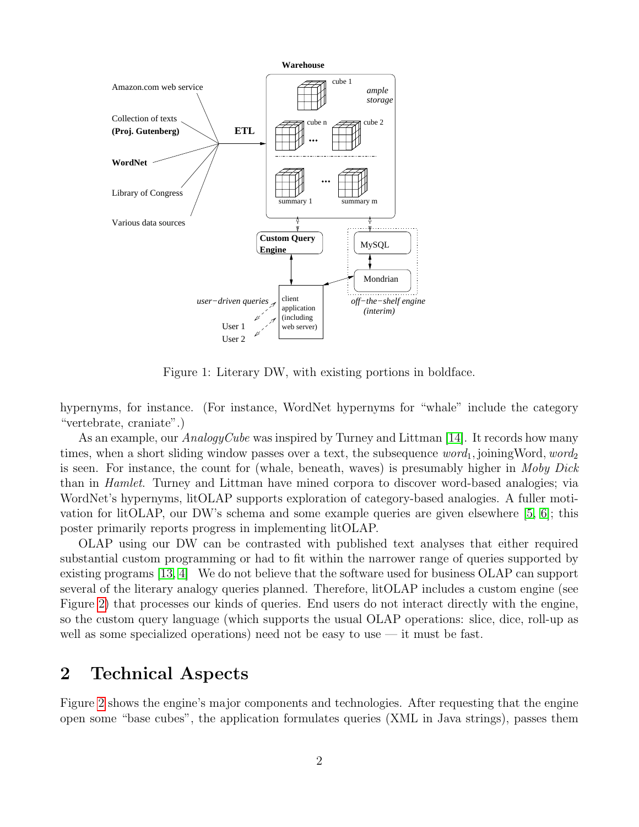

<span id="page-1-0"></span>Figure 1: Literary DW, with existing portions in boldface.

hypernyms, for instance. (For instance, WordNet hypernyms for "whale" include the category "vertebrate, craniate".)

As an example, our  $AnaloguCube$  was inspired by Turney and Littman [\[14\]](#page-3-4). It records how many times, when a short sliding window passes over a text, the subsequence  $word_1$ , joining Word,  $word_2$ is seen. For instance, the count for (whale, beneath, waves) is presumably higher in Moby Dick than in Hamlet. Turney and Littman have mined corpora to discover word-based analogies; via WordNet's hypernyms, litOLAP supports exploration of category-based analogies. A fuller motivation for litOLAP, our DW's schema and some example queries are given elsewhere [\[5,](#page-3-5) [6\]](#page-3-6); this poster primarily reports progress in implementing litOLAP.

OLAP using our DW can be contrasted with published text analyses that either required substantial custom programming or had to fit within the narrower range of queries supported by existing programs [\[13,](#page-3-7) [4\]](#page-3-8) We do not believe that the software used for business OLAP can support several of the literary analogy queries planned. Therefore, litOLAP includes a custom engine (see Figure [2\)](#page-2-0) that processes our kinds of queries. End users do not interact directly with the engine, so the custom query language (which supports the usual OLAP operations: slice, dice, roll-up as well as some specialized operations) need not be easy to use  $-$  it must be fast.

## 2 Technical Aspects

Figure [2](#page-2-0) shows the engine's major components and technologies. After requesting that the engine open some "base cubes", the application formulates queries (XML in Java strings), passes them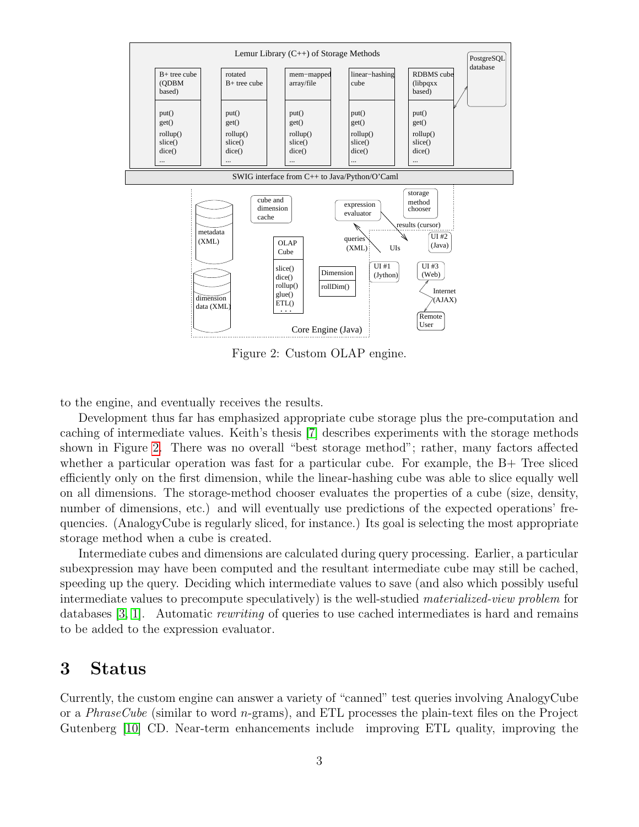

<span id="page-2-0"></span>Figure 2: Custom OLAP engine.

to the engine, and eventually receives the results.

Development thus far has emphasized appropriate cube storage plus the pre-computation and caching of intermediate values. Keith's thesis [\[7\]](#page-3-9) describes experiments with the storage methods shown in Figure [2.](#page-2-0) There was no overall "best storage method"; rather, many factors affected whether a particular operation was fast for a particular cube. For example, the  $B+$  Tree sliced efficiently only on the first dimension, while the linear-hashing cube was able to slice equally well on all dimensions. The storage-method chooser evaluates the properties of a cube (size, density, number of dimensions, etc.) and will eventually use predictions of the expected operations' frequencies. (AnalogyCube is regularly sliced, for instance.) Its goal is selecting the most appropriate storage method when a cube is created.

Intermediate cubes and dimensions are calculated during query processing. Earlier, a particular subexpression may have been computed and the resultant intermediate cube may still be cached, speeding up the query. Deciding which intermediate values to save (and also which possibly useful intermediate values to precompute speculatively) is the well-studied materialized-view problem for databases [\[3,](#page-3-10) [1\]](#page-3-11). Automatic *rewriting* of queries to use cached intermediates is hard and remains to be added to the expression evaluator.

#### 3 Status

Currently, the custom engine can answer a variety of "canned" test queries involving AnalogyCube or a *PhraseCube* (similar to word *n*-grams), and ETL processes the plain-text files on the Project Gutenberg [\[10\]](#page-3-12) CD. Near-term enhancements include improving ETL quality, improving the